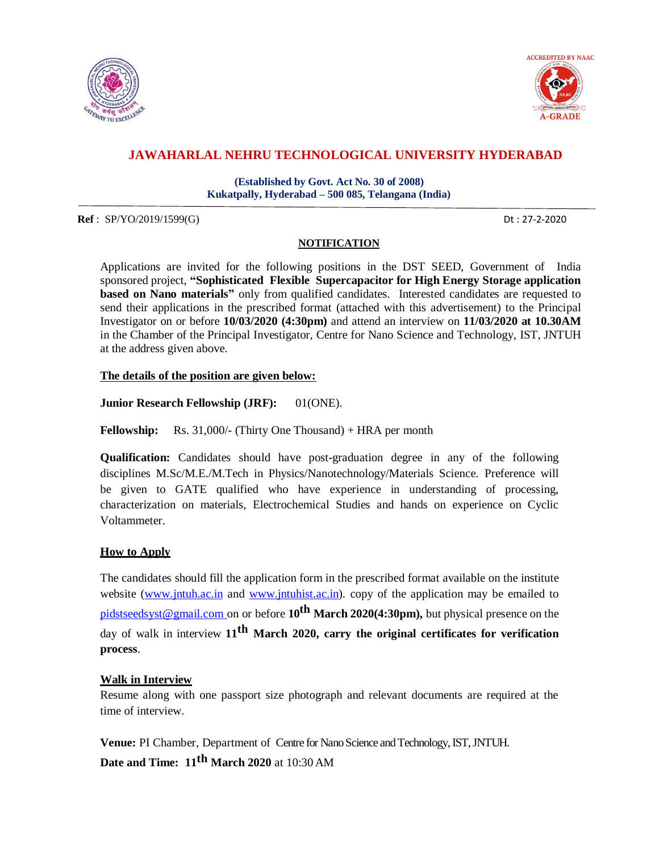



# **JAWAHARLAL NEHRU TECHNOLOGICAL UNIVERSITY HYDERABAD**

**(Established by Govt. Act No. 30 of 2008) Kukatpally, Hyderabad – 500 085, Telangana (India)**

**Ref** : SP/YO/2019/1599(G) Dt : 27-2-2020

# **NOTIFICATION**

Applications are invited for the following positions in the DST SEED, Government of India sponsored project, **"Sophisticated Flexible Supercapacitor for High Energy Storage application based on Nano materials"** only from qualified candidates. Interested candidates are requested to send their applications in the prescribed format (attached with this advertisement) to the Principal Investigator on or before **10/03/2020 (4:30pm)** and attend an interview on **11/03/2020 at 10.30AM** in the Chamber of the Principal Investigator, Centre for Nano Science and Technology, IST, JNTUH at the address given above.

### **The details of the position are given below:**

**Junior Research Fellowship (JRF):** 01(ONE).

**Fellowship:** Rs. 31,000/- (Thirty One Thousand) + HRA per month

**Qualification:** Candidates should have post-graduation degree in any of the following disciplines M.Sc/M.E./M.Tech in Physics/Nanotechnology/Materials Science. Preference will be given to GATE qualified who have experience in understanding of processing, characterization on materials, Electrochemical Studies and hands on experience on Cyclic Voltammeter.

### **How to Apply**

The candidates should fill the application form in the prescribed format available on the institute website [\(www.jntuh.ac.in](http://www.jntuh.ac.in/) and www.jntuhist.ac.in). copy of the application may be emailed to [pidstseedsyst@gmail.com](mailto:pidstseedsyst@gmail.com) on or before **10th March 2020(4:30pm),** but physical presence on the day of walk in interview **11th March 2020, carry the original certificates for verification process**.

# **Walk in Interview**

Resume along with one passport size photograph and relevant documents are required at the time of interview.

**Venue:** PI Chamber, Department of Centre for Nano Science and Technology, IST, JNTUH. **Date and Time: 11th March 2020** at 10:30 AM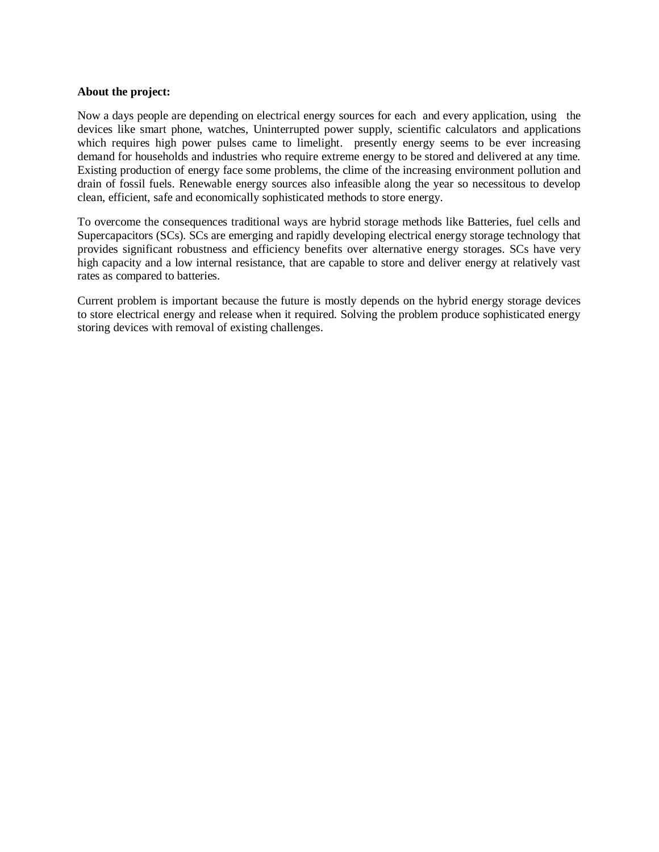### **About the project:**

Now a days people are depending on electrical energy sources for each and every application, using the devices like smart phone, watches, Uninterrupted power supply, scientific calculators and applications which requires high power pulses came to limelight. presently energy seems to be ever increasing demand for households and industries who require extreme energy to be stored and delivered at any time. Existing production of energy face some problems, the clime of the increasing environment pollution and drain of fossil fuels. Renewable energy sources also infeasible along the year so necessitous to develop clean, efficient, safe and economically sophisticated methods to store energy.

To overcome the consequences traditional ways are hybrid storage methods like Batteries, fuel cells and Supercapacitors (SCs). SCs are emerging and rapidly developing electrical energy storage technology that provides significant robustness and efficiency benefits over alternative energy storages. SCs have very high capacity and a low internal resistance, that are capable to store and deliver energy at relatively vast rates as compared to batteries.

Current problem is important because the future is mostly depends on the hybrid energy storage devices to store electrical energy and release when it required. Solving the problem produce sophisticated energy storing devices with removal of existing challenges.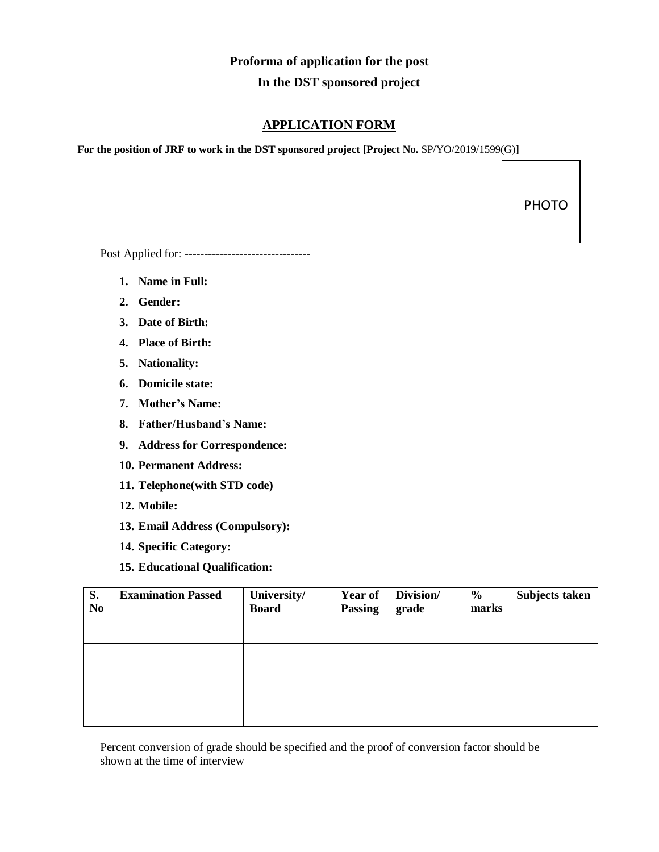# **Proforma of application for the post In the DST sponsored project**

# **APPLICATION FORM**

**For the position of JRF to work in the DST sponsored project [Project No.** SP/YO/2019/1599(G)**]**

PHOTO

Post Applied for: --------------------------------

- **1. Name in Full:**
- **2. Gender:**
- **3. Date of Birth:**
- **4. Place of Birth:**
- **5. Nationality:**
- **6. Domicile state:**
- **7. Mother's Name:**
- **8. Father/Husband's Name:**
- **9. Address for Correspondence:**
- **10. Permanent Address:**
- **11. Telephone(with STD code)**
- **12. Mobile:**
- **13. Email Address (Compulsory):**
- **14. Specific Category:**
- **15. Educational Qualification:**

| S.<br>N <sub>0</sub> | <b>Examination Passed</b> | University/<br><b>Board</b> | Year of<br><b>Passing</b> | Division/<br>grade | $\frac{6}{6}$<br>marks | Subjects taken |
|----------------------|---------------------------|-----------------------------|---------------------------|--------------------|------------------------|----------------|
|                      |                           |                             |                           |                    |                        |                |
|                      |                           |                             |                           |                    |                        |                |
|                      |                           |                             |                           |                    |                        |                |
|                      |                           |                             |                           |                    |                        |                |

Percent conversion of grade should be specified and the proof of conversion factor should be shown at the time of interview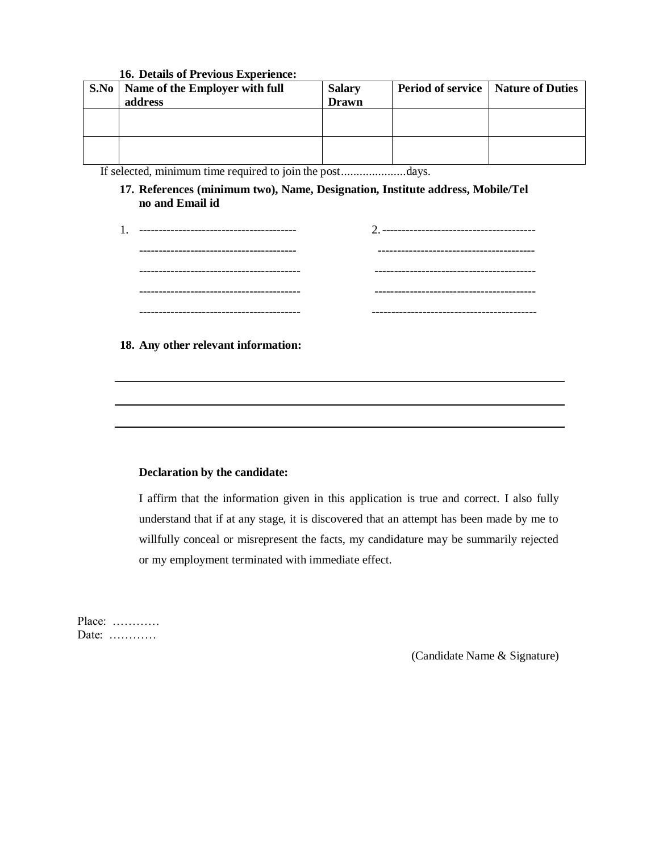### **16. Details of Previous Experience:**

| S.No | Name of the Employer with full<br>address | <b>Salary</b><br><b>Drawn</b> | <b>Period of service</b>   Nature of Duties |  |
|------|-------------------------------------------|-------------------------------|---------------------------------------------|--|
|      |                                           |                               |                                             |  |
|      |                                           |                               |                                             |  |

If selected, minimum time required to join the post.....................days.

**17. References (minimum two), Name, Designation, Institute address, Mobile/Tel no and Email id**

| ------------------------------------- |                                        |
|---------------------------------------|----------------------------------------|
|                                       | -------------------------------------- |
|                                       |                                        |
|                                       |                                        |

**18. Any other relevant information:**

### **Declaration by the candidate:**

I affirm that the information given in this application is true and correct. I also fully understand that if at any stage, it is discovered that an attempt has been made by me to willfully conceal or misrepresent the facts, my candidature may be summarily rejected or my employment terminated with immediate effect.

Place: ………… Date: …………

(Candidate Name & Signature)